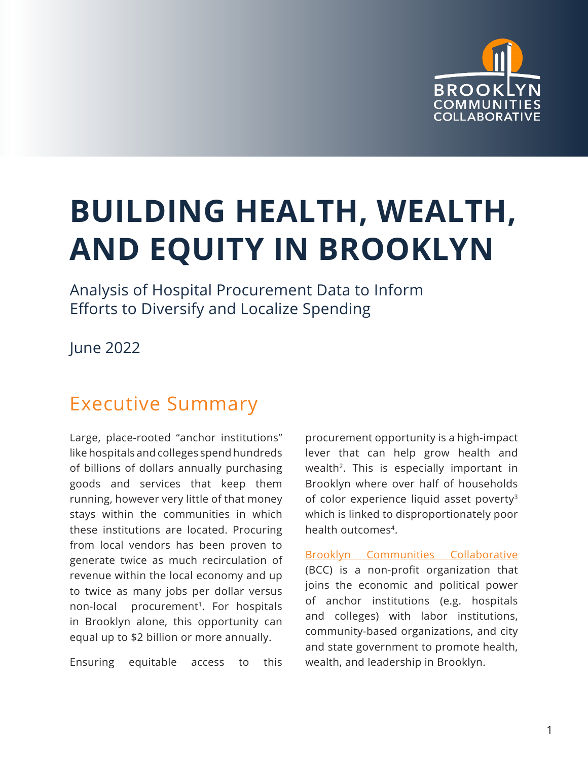

# <span id="page-0-0"></span>**BUILDING HEALTH, WEALTH, AND EQUITY IN BROOKLYN**

Analysis of Hospital Procurement Data to Inform Efforts to Diversify and Localize Spending

June 2022

# Executive Summary

Large, place-rooted "anchor institutions" like hospitals and colleges spend hundreds of billions of dollars annually purchasing goods and services that keep them running, however very little of that money stays within the communities in which these institutions are located. Procuring from local vendors has been proven to generate twice as much recirculation of revenue within the local economy and up to twice as many jobs per dollar versus non-local procurement<sup>[1](#page-9-0)</sup>. For hospitals in Brooklyn alone, this opportunity can equal up to \$2 billion or more annually.

Ensuring equitable access to this

procurement opportunity is a high-impact lever that can help grow health and wealth<sup>[2](#page-9-0)</sup>. This is especially important in Brooklyn where over half of households of color experience liquid asset poverty<sup>[3](#page-9-0)</sup> which is linked to disproportionately poor health outcomes[4](#page-9-0).

[Brooklyn Communities Collaborative](https://brooklyncommunities.org/) (BCC) is a non-profit organization that joins the economic and political power of anchor institutions (e.g. hospitals and colleges) with labor institutions, community-based organizations, and city and state government to promote health, wealth, and leadership in Brooklyn.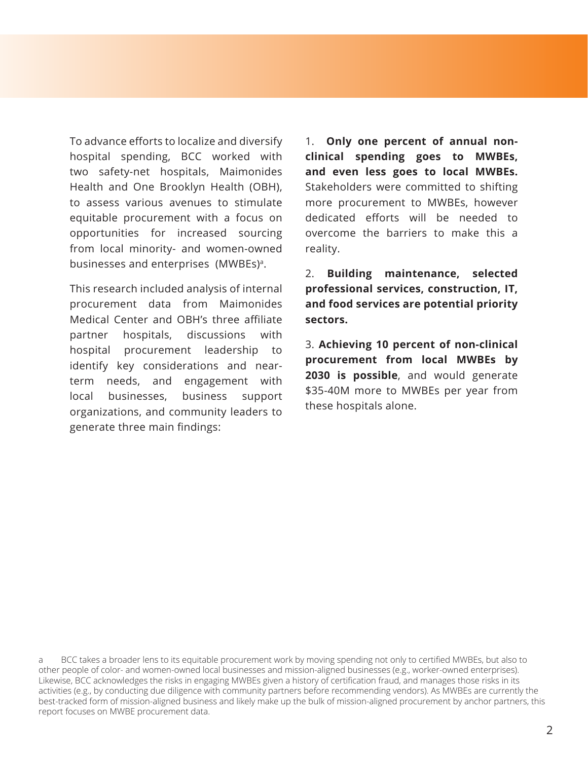To advance efforts to localize and diversify hospital spending, BCC worked with two safety-net hospitals, Maimonides Health and One Brooklyn Health (OBH), to assess various avenues to stimulate equitable procurement with a focus on opportunities for increased sourcing from local minority- and women-owned businesses and enterprises (MWBEs)<sup>a</sup>.

This research included analysis of internal procurement data from Maimonides Medical Center and OBH's three affiliate partner hospitals, discussions with hospital procurement leadership to identify key considerations and nearterm needs, and engagement with local businesses, business support organizations, and community leaders to generate three main findings:

1. **Only one percent of annual nonclinical spending goes to MWBEs, and even less goes to local MWBEs.** Stakeholders were committed to shifting more procurement to MWBEs, however dedicated efforts will be needed to overcome the barriers to make this a reality.

2. **Building maintenance, selected professional services, construction, IT, and food services are potential priority sectors.**

3. **Achieving 10 percent of non-clinical procurement from local MWBEs by 2030 is possible**, and would generate \$35-40M more to MWBEs per year from these hospitals alone.

a BCC takes a broader lens to its equitable procurement work by moving spending not only to certified MWBEs, but also to other people of color- and women-owned local businesses and mission-aligned businesses (e.g., worker-owned enterprises). Likewise, BCC acknowledges the risks in engaging MWBEs given a history of certification fraud, and manages those risks in its activities (e.g., by conducting due diligence with community partners before recommending vendors). As MWBEs are currently the best-tracked form of mission-aligned business and likely make up the bulk of mission-aligned procurement by anchor partners, this report focuses on MWBE procurement data.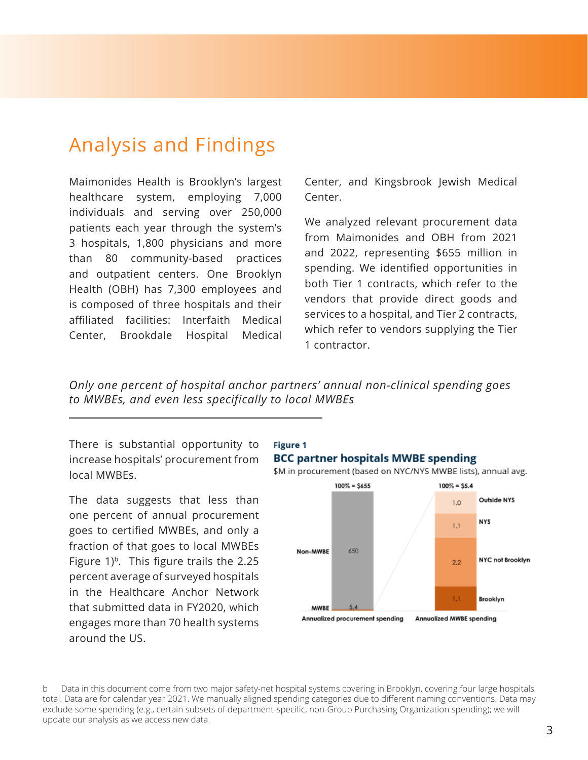# Analysis and Findings

Maimonides Health is Brooklyn's largest healthcare system, employing 7,000 individuals and serving over 250,000 patients each year through the system's 3 hospitals, 1,800 physicians and more than 80 community-based practices and outpatient centers. One Brooklyn Health (OBH) has 7,300 employees and is composed of three hospitals and their affiliated facilities: Interfaith Medical Center, Brookdale Hospital Medical

Center, and Kingsbrook Jewish Medical Center.

We analyzed relevant procurement data from Maimonides and OBH from 2021 and 2022, representing \$655 million in spending. We identified opportunities in both Tier 1 contracts, which refer to the vendors that provide direct goods and services to a hospital, and Tier 2 contracts, which refer to vendors supplying the Tier 1 contractor.

*Only one percent of hospital anchor partners' annual non-clinical spending goes to MWBEs, and even less specifically to local MWBEs*

There is substantial opportunity to increase hospitals' procurement from local MWBEs.

The data suggests that less than one percent of annual procurement goes to certified MWBEs, and only a fraction of that goes to local MWBEs Figure  $1$ <sup>b</sup>. This figure trails the 2.25 percent average of surveyed hospitals in the Healthcare Anchor Network that submitted data in FY2020, which engages more than 70 health systems around the US.



Annualized MWBE spending

b Data in this document come from two major safety-net hospital systems covering in Brooklyn, covering four large hospitals total. Data are for calendar year 2021. We manually aligned spending categories due to different naming conventions. Data may exclude some spending (e.g., certain subsets of department-specific, non-Group Purchasing Organization spending); we will update our analysis as we access new data.

**MWBE** 

 $5.4$ 

Annualized procurement spending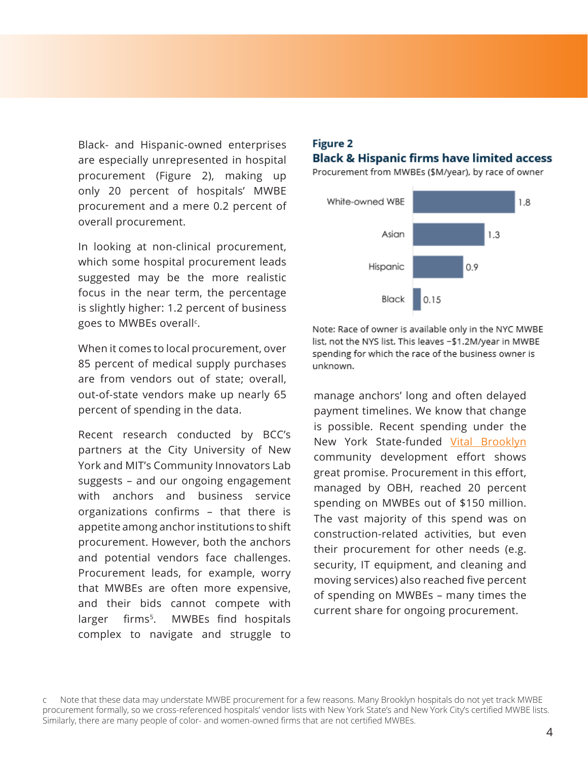<span id="page-3-0"></span>Black- and Hispanic-owned enterprises are especially unrepresented in hospital procurement (Figure 2), making up only 20 percent of hospitals' MWBE procurement and a mere 0.2 percent of overall procurement.

In looking at non-clinical procurement, which some hospital procurement leads suggested may be the more realistic focus in the near term, the percentage is slightly higher: 1.2 percent of business goes to MWBEs overall<sup>c</sup>.

When it comes to local procurement, over 85 percent of medical supply purchases are from vendors out of state; overall, out-of-state vendors make up nearly 65 percent of spending in the data.

Recent research conducted by BCC's partners at the City University of New York and MIT's Community Innovators Lab suggests – and our ongoing engagement with anchors and business service organizations confirms – that there is appetite among anchor institutions to shift procurement. However, both the anchors and potential vendors face challenges. Procurement leads, for example, worry that MWBEs are often more expensive, and their bids cannot compete with larger firms<sup>[5](#page-9-0)</sup>. MWBEs find hospitals complex to navigate and struggle to

#### **Figure 2 Black & Hispanic firms have limited access**

Procurement from MWBEs (\$M/year), by race of owner



Note: Race of owner is available only in the NYC MWBE list, not the NYS list. This leaves -\$1.2M/year in MWBE spending for which the race of the business owner is unknown.

manage anchors' long and often delayed payment timelines. We know that change is possible. Recent spending under the New York State-funded [Vital Brooklyn](https://www.ny.gov/programs/vital-brooklyn-initiative) community development effort shows great promise. Procurement in this effort, managed by OBH, reached 20 percent spending on MWBEs out of \$150 million. The vast majority of this spend was on construction-related activities, but even their procurement for other needs (e.g. security, IT equipment, and cleaning and moving services) also reached five percent of spending on MWBEs – many times the current share for ongoing procurement.

c Note that these data may understate MWBE procurement for a few reasons. Many Brooklyn hospitals do not yet track MWBE procurement formally, so we cross-referenced hospitals' vendor lists with New York State's and New York City's certified MWBE lists. Similarly, there are many people of color- and women-owned firms that are not certified MWBEs.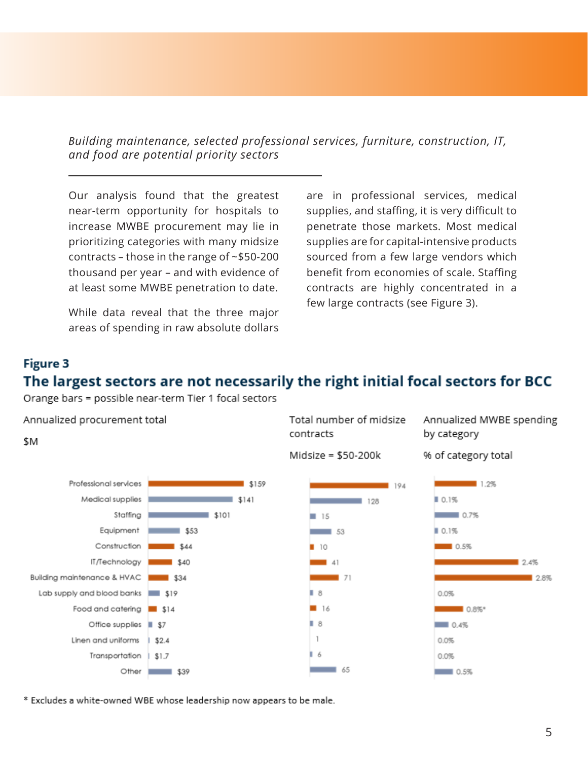*Building maintenance, selected professional services, furniture, construction, IT, and food are potential priority sectors*

Our analysis found that the greatest near-term opportunity for hospitals to increase MWBE procurement may lie in prioritizing categories with many midsize contracts – those in the range of ~\$50-200 thousand per year – and with evidence of at least some MWBE penetration to date.

While data reveal that the three major areas of spending in raw absolute dollars are in professional services, medical supplies, and staffing, it is very difficult to penetrate those markets. Most medical supplies are for capital-intensive products sourced from a few large vendors which benefit from economies of scale. Staffing contracts are highly concentrated in a few large contracts (see Figure 3).

# **Figure 3**

\$M

# The largest sectors are not necessarily the right initial focal sectors for BCC

Orange bars = possible near-term Tier 1 focal sectors



Total number of midsize contracts

Midsize = \$50-200k

Annualized MWBE spending by category





\* Excludes a white-owned WBE whose leadership now appears to be male.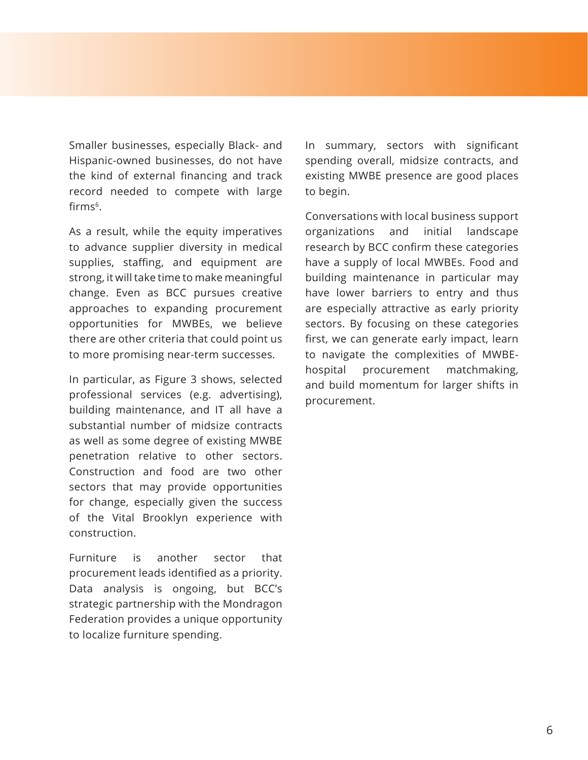<span id="page-5-0"></span>Smaller businesses, especially Black- and Hispanic-owned businesses, do not have the kind of external financing and track record needed to compete with large firm[s6](#page-9-0).

As a result, while the equity imperatives to advance supplier diversity in medical supplies, staffing, and equipment are strong, it will take time to make meaningful change. Even as BCC pursues creative approaches to expanding procurement opportunities for MWBEs, we believe there are other criteria that could point us to more promising near-term successes.

In particular, as Figure 3 shows, selected professional services (e.g. advertising), building maintenance, and IT all have a substantial number of midsize contracts as well as some degree of existing MWBE penetration relative to other sectors. Construction and food are two other sectors that may provide opportunities for change, especially given the success of the Vital Brooklyn experience with construction.

Furniture is another sector that procurement leads identified as a priority. Data analysis is ongoing, but BCC's strategic partnership with the Mondragon Federation provides a unique opportunity to localize furniture spending.

In summary, sectors with significant spending overall, midsize contracts, and existing MWBE presence are good places to begin.

Conversations with local business support organizations and initial landscape research by BCC confirm these categories have a supply of local MWBEs. Food and building maintenance in particular may have lower barriers to entry and thus are especially attractive as early priority sectors. By focusing on these categories first, we can generate early impact, learn to navigate the complexities of MWBEhospital procurement matchmaking, and build momentum for larger shifts in procurement.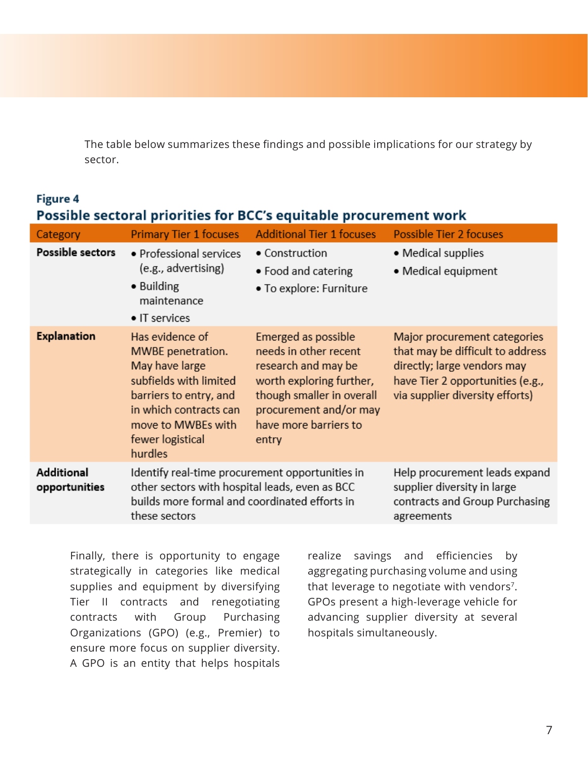<span id="page-6-0"></span>The table below summarizes these findings and possible implications for our strategy by sector.

# **Figure 4** Possible sectoral priorities for BCC's equitable procurement work

| Category                    | <b>Primary Tier 1 focuses</b>                                                                                                                                                             | <b>Additional Tier 1 focuses</b>                                                                                                                                                         | <b>Possible Tier 2 focuses</b>                                                                                                                                         |
|-----------------------------|-------------------------------------------------------------------------------------------------------------------------------------------------------------------------------------------|------------------------------------------------------------------------------------------------------------------------------------------------------------------------------------------|------------------------------------------------------------------------------------------------------------------------------------------------------------------------|
| Possible sectors            | • Professional services<br>(e.g., advertising)<br>• Building<br>maintenance<br>$\bullet$ IT services                                                                                      | • Construction<br>• Food and catering<br>• To explore: Furniture                                                                                                                         | • Medical supplies<br>• Medical equipment                                                                                                                              |
| <b>Explanation</b>          | Has evidence of<br>MWBE penetration.<br>May have large<br>subfields with limited<br>barriers to entry, and<br>in which contracts can<br>move to MWBEs with<br>fewer logistical<br>hurdles | Emerged as possible<br>needs in other recent<br>research and may be<br>worth exploring further,<br>though smaller in overall<br>procurement and/or may<br>have more barriers to<br>entry | Major procurement categories<br>that may be difficult to address<br>directly; large vendors may<br>have Tier 2 opportunities (e.g.,<br>via supplier diversity efforts) |
| Additional<br>opportunities | Identify real-time procurement opportunities in<br>other sectors with hospital leads, even as BCC<br>builds more formal and coordinated efforts in<br>these sectors                       |                                                                                                                                                                                          | Help procurement leads expand<br>supplier diversity in large<br>contracts and Group Purchasing<br>agreements                                                           |

Finally, there is opportunity to engage strategically in categories like medical supplies and equipment by diversifying Tier II contracts and renegotiating contracts with Group Purchasing Organizations (GPO) (e.g., Premier) to ensure more focus on supplier diversity. A GPO is an entity that helps hospitals

realize savings and efficiencies by aggregating purchasing volume and using that leverage to negotiate with vendors<sup>[7](#page-9-0)</sup>. GPOs present a high-leverage vehicle for advancing supplier diversity at several hospitals simultaneously.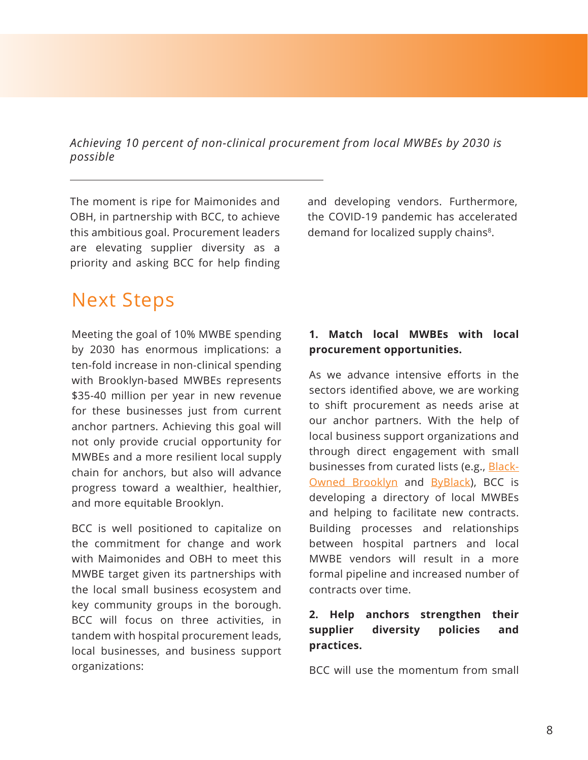*Achieving 10 percent of non-clinical procurement from local MWBEs by 2030 is possible* 

The moment is ripe for Maimonides and OBH, in partnership with BCC, to achieve this ambitious goal. Procurement leaders are elevating supplier diversity as a priority and asking BCC for help finding

Next Steps

Meeting the goal of 10% MWBE spending by 2030 has enormous implications: a ten-fold increase in non-clinical spending with Brooklyn-based MWBEs represents \$35-40 million per year in new revenue for these businesses just from current anchor partners. Achieving this goal will not only provide crucial opportunity for MWBEs and a more resilient local supply chain for anchors, but also will advance progress toward a wealthier, healthier, and more equitable Brooklyn.

BCC is well positioned to capitalize on the commitment for change and work with Maimonides and OBH to meet this MWBE target given its partnerships with the local small business ecosystem and key community groups in the borough. BCC will focus on three activities, in tandem with hospital procurement leads, local businesses, and business support organizations:

and developing vendors. Furthermore, the COVID-19 pandemic has accelerated demand for localized supply chains<sup>8</sup>.

## **1. Match local MWBEs with local procurement opportunities.**

As we advance intensive efforts in the sectors identified above, we are working to shift procurement as needs arise at our anchor partners. With the help of local business support organizations and through direct engagement with small businesses from curated lists (e.g., [Black-](https://www.blackownedbrooklyn.com/)[Owned Brooklyn](https://www.blackownedbrooklyn.com/) and [ByBlack](https://usblackchambers.org/certification/)), BCC is developing a directory of local MWBEs and helping to facilitate new contracts. Building processes and relationships between hospital partners and local MWBE vendors will result in a more formal pipeline and increased number of contracts over time.

## **2. Help anchors strengthen their supplier diversity policies and practices.**

BCC will use the momentum from small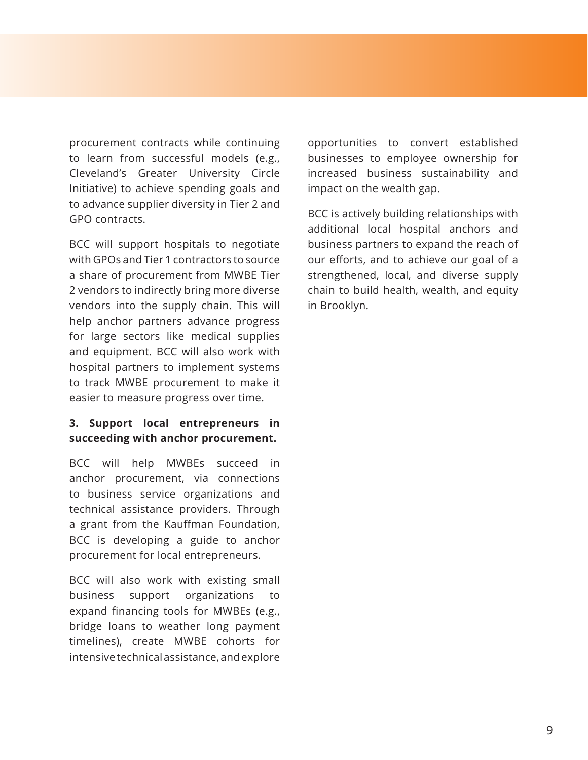procurement contracts while continuing to learn from successful models (e.g., Cleveland's Greater University Circle Initiative) to achieve spending goals and to advance supplier diversity in Tier 2 and GPO contracts.

BCC will support hospitals to negotiate with GPOs and Tier 1 contractors to source a share of procurement from MWBE Tier 2 vendors to indirectly bring more diverse vendors into the supply chain. This will help anchor partners advance progress for large sectors like medical supplies and equipment. BCC will also work with hospital partners to implement systems to track MWBE procurement to make it easier to measure progress over time.

## **3. Support local entrepreneurs in succeeding with anchor procurement.**

BCC will help MWBEs succeed in anchor procurement, via connections to business service organizations and technical assistance providers. Through a grant from the Kauffman Foundation, BCC is developing a guide to anchor procurement for local entrepreneurs.

BCC will also work with existing small business support organizations to expand financing tools for MWBEs (e.g., bridge loans to weather long payment timelines), create MWBE cohorts for intensive technical assistance, and explore

opportunities to convert established businesses to employee ownership for increased business sustainability and impact on the wealth gap.

BCC is actively building relationships with additional local hospital anchors and business partners to expand the reach of our efforts, and to achieve our goal of a strengthened, local, and diverse supply chain to build health, wealth, and equity in Brooklyn.